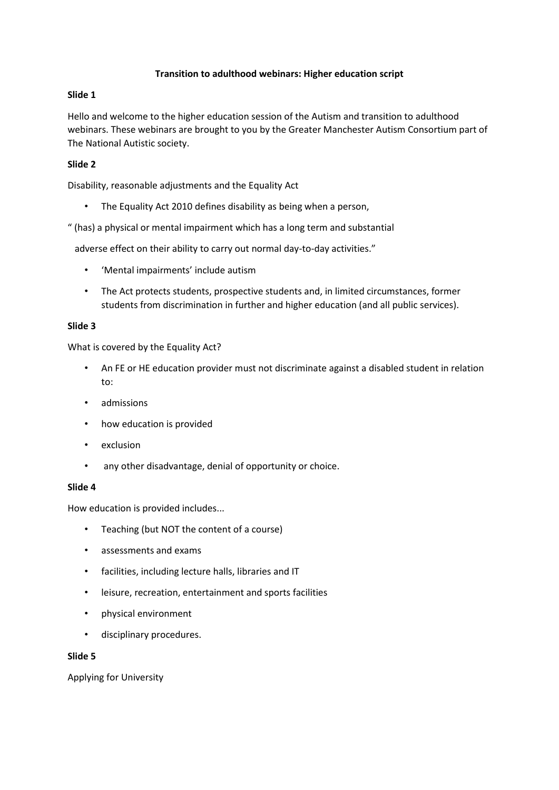## **Transition to adulthood webinars: Higher education script**

## **Slide 1**

Hello and welcome to the higher education session of the Autism and transition to adulthood webinars. These webinars are brought to you by the Greater Manchester Autism Consortium part of The National Autistic society.

# **Slide 2**

Disability, reasonable adjustments and the Equality Act

• The Equality Act 2010 defines disability as being when a person,

" (has) a physical or mental impairment which has a long term and substantial

adverse effect on their ability to carry out normal day-to-day activities."

- 'Mental impairments' include autism
- The Act protects students, prospective students and, in limited circumstances, former students from discrimination in further and higher education (and all public services).

#### **Slide 3**

What is covered by the Equality Act?

- An FE or HE education provider must not discriminate against a disabled student in relation to:
- admissions
- how education is provided
- exclusion
- any other disadvantage, denial of opportunity or choice.

#### **Slide 4**

How education is provided includes...

- Teaching (but NOT the content of a course)
- assessments and exams
- facilities, including lecture halls, libraries and IT
- leisure, recreation, entertainment and sports facilities
- physical environment
- disciplinary procedures.

#### **Slide 5**

Applying for University